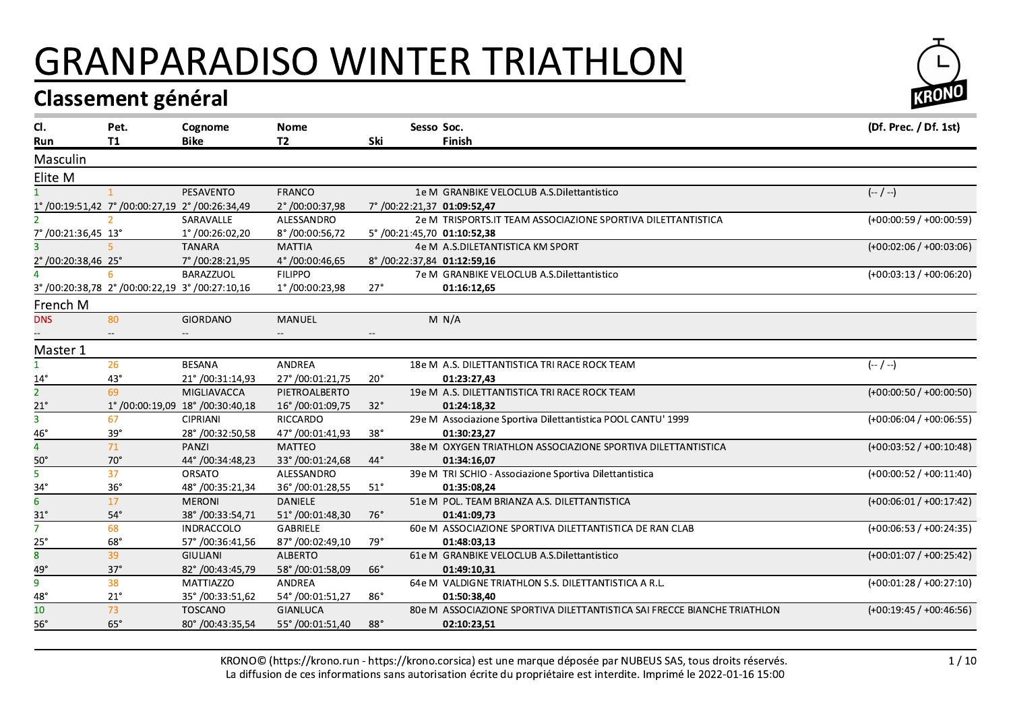## GRANPARADISO WINTER TRIATHLON

## Classement général

| Cl.                             | Pet.           | Cognome                                      | <b>Nome</b>     |              | Sesso Soc. |                                                                          | (Df. Prec. / Df. 1st)     |
|---------------------------------|----------------|----------------------------------------------|-----------------|--------------|------------|--------------------------------------------------------------------------|---------------------------|
| Run                             | T1             | <b>Bike</b>                                  | T2              | Ski          |            | Finish                                                                   |                           |
| Masculin                        |                |                                              |                 |              |            |                                                                          |                           |
| Elite M                         |                |                                              |                 |              |            |                                                                          |                           |
|                                 | $\overline{1}$ | PESAVENTO                                    | <b>FRANCO</b>   |              |            | 1e M GRANBIKE VELOCLUB A.S. Dilettantistico                              | $(-/ -)$                  |
|                                 |                | 1°/00:19:51,42 7°/00:00:27,19 2°/00:26:34,49 | 2°/00:00:37,98  |              |            | 7°/00:22:21,37 01:09:52,47                                               |                           |
|                                 |                | SARAVALLE                                    | ALESSANDRO      |              |            | 2e M TRISPORTS.IT TEAM ASSOCIAZIONE SPORTIVA DILETTANTISTICA             | $(+00:00:59 / +00:00:59)$ |
| 7°/00:21:36,45 13°              |                | 1°/00:26:02,20                               | 8°/00:00:56,72  |              |            | 5°/00:21:45,70 01:10:52,38                                               |                           |
|                                 |                | <b>TANARA</b>                                | <b>MATTIA</b>   |              |            | 4e M A.S.DILETANTISTICA KM SPORT                                         | $(+00:02:06 / +00:03:06)$ |
| 2°/00:20:38,46 25°              |                | 7°/00:28:21,95                               | 4°/00:00:46,65  |              |            | 8°/00:22:37,84 01:12:59,16                                               |                           |
|                                 | 6              | BARAZZUOL                                    | <b>FILIPPO</b>  |              |            | 7e M GRANBIKE VELOCLUB A.S.Dilettantistico                               | $(+00:03:13/+00:06:20)$   |
|                                 |                | 3°/00:20:38,78 2°/00:00:22,19 3°/00:27:10,16 | 1°/00:00:23,98  | $27^\circ$   |            | 01:16:12,65                                                              |                           |
| French M                        |                |                                              |                 |              |            |                                                                          |                           |
| <b>DNS</b>                      | 80             | <b>GIORDANO</b>                              | MANUEL          |              |            | M N/A                                                                    |                           |
| <sup>--</sup>                   |                |                                              |                 |              |            |                                                                          |                           |
| Master 1                        |                |                                              |                 |              |            |                                                                          |                           |
|                                 | 26             | <b>BESANA</b>                                | <b>ANDREA</b>   |              |            | 18e M A.S. DILETTANTISTICA TRI RACE ROCK TEAM                            | $(-/ -)$                  |
| $14^{\circ}$                    | $43^\circ$     | 21°/00:31:14,93                              | 27°/00:01:21,75 | $20^{\circ}$ |            | 01:23:27,43                                                              |                           |
| $\overline{2}$                  | 69             | MIGLIAVACCA                                  | PIETROALBERTO   |              |            | 19e M A.S. DILETTANTISTICA TRI RACE ROCK TEAM                            | $(+00:00:50/+00:00:50)$   |
| $21^{\circ}$                    |                | 1°/00:00:19,09 18°/00:30:40,18               | 16°/00:01:09,75 | $32^\circ$   |            | 01:24:18,32                                                              |                           |
| $\overline{\mathbf{3}}$         | 67             | <b>CIPRIANI</b>                              | RICCARDO        |              |            | 29e M Associazione Sportiva Dilettantistica POOL CANTU' 1999             | $(+00:06:04 / +00:06:55)$ |
| 46°                             | 39°            | 28°/00:32:50,58                              | 47°/00:01:41,93 | $38^\circ$   |            | 01:30:23,27                                                              |                           |
| 4                               | 71             | PANZI                                        | <b>MATTEO</b>   |              |            | 38e M OXYGEN TRIATHLON ASSOCIAZIONE SPORTIVA DILETTANTISTICA             | $(+00:03:52 / +00:10:48)$ |
| $\frac{50^{\circ}}{20^{\circ}}$ | $70^\circ$     | 44°/00:34:48,23                              | 33°/00:01:24,68 | $44^{\circ}$ |            | 01:34:16,07                                                              |                           |
| 5                               | 37             | <b>ORSATO</b>                                | ALESSANDRO      |              |            | 39e M TRI SCHIO - Associazione Sportiva Dilettantistica                  | $(+00:00:52 / +00:11:40)$ |
| 34°                             | $36^\circ$     | 48°/00:35:21,34                              | 36°/00:01:28,55 | $51^\circ$   |            | 01:35:08.24                                                              |                           |
| 6                               | 17             | <b>MERONI</b>                                | <b>DANIELE</b>  |              |            | 51e M POL. TEAM BRIANZA A.S. DILETTANTISTICA                             | $(+00:06:01 / +00:17:42)$ |
| $\frac{31^{\circ}}{2}$          | $54^\circ$     | 38°/00:33:54,71                              | 51°/00:01:48,30 | $76^\circ$   |            | 01:41:09,73                                                              |                           |
|                                 | 68             | INDRACCOLO                                   | <b>GABRIELE</b> |              |            | 60e M ASSOCIAZIONE SPORTIVA DILETTANTISTICA DE RAN CLAB                  | $(+00:06:53 / +00:24:35)$ |
| $\frac{25^{\circ}}{25^{\circ}}$ | $68^\circ$     | 57°/00:36:41,56                              | 87°/00:02:49,10 | 79°          |            | 01:48:03,13                                                              |                           |
| 8                               | 39             | <b>GIULIANI</b>                              | <b>ALBERTO</b>  |              |            | 61e M GRANBIKE VELOCLUB A.S.Dilettantistico                              | $(+00:01:07 / +00:25:42)$ |
| $49^{\circ}$                    | $37^\circ$     | 82°/00:43:45,79                              | 58°/00:01:58,09 | $66^{\circ}$ |            | 01:49:10,31                                                              |                           |
| 9                               | 38             | <b>MATTIAZZO</b>                             | ANDREA          |              |            | 64e M VALDIGNE TRIATHLON S.S. DILETTANTISTICA A R.L.                     | $(+00:01:28 / +00:27:10)$ |
| 48°                             | $21^\circ$     | 35°/00:33:51,62                              | 54°/00:01:51,27 | $86^{\circ}$ |            | 01:50:38,40                                                              |                           |
| 10                              | 73             | <b>TOSCANO</b>                               | <b>GIANLUCA</b> |              |            | 80e M ASSOCIAZIONE SPORTIVA DILETTANTISTICA SAI FRECCE BIANCHE TRIATHLON | $(+00:19:45 / +00:46:56)$ |
| 56°                             | $65^\circ$     | 80°/00:43:35,54                              | 55°/00:01:51,40 | $88^\circ$   |            | 02:10:23,51                                                              |                           |

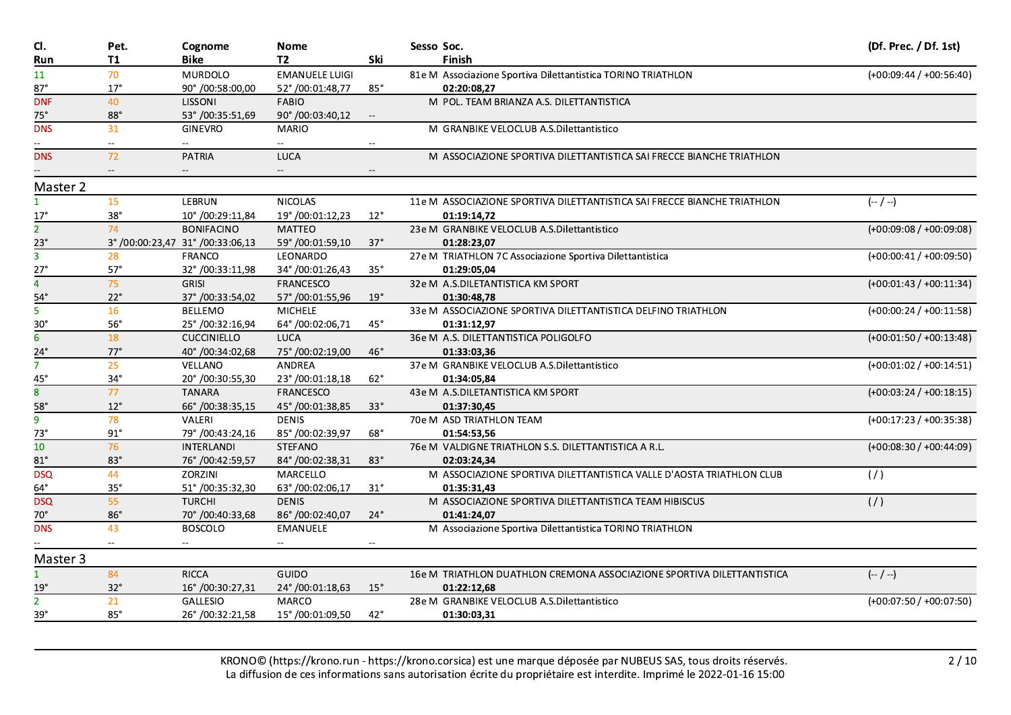| CI.                     | Pet.          | Cognome                        | <b>Nome</b>               |                                                | Sesso Soc.                                                               | (Df. Prec. / Df. 1st)     |
|-------------------------|---------------|--------------------------------|---------------------------|------------------------------------------------|--------------------------------------------------------------------------|---------------------------|
| Run                     | T1            | <b>Bike</b>                    | T <sub>2</sub>            | Ski                                            | Finish                                                                   |                           |
| 11                      | 70            | <b>MURDOLO</b>                 | <b>EMANUELE LUIGI</b>     |                                                | 81e M Associazione Sportiva Dilettantistica TORINO TRIATHLON             | $(+00:09:44 / +00:56:40)$ |
| $87^\circ$              | $17^\circ$    | 90°/00:58:00,00                | 52°/00:01:48,77           | $85^\circ$                                     | 02:20:08,27                                                              |                           |
| <b>DNF</b>              | 40            | <b>LISSONI</b>                 | <b>FABIO</b>              |                                                | M POL. TEAM BRIANZA A.S. DILETTANTISTICA                                 |                           |
| $75^\circ$              | $88^\circ$    | 53°/00:35:51,69                | 90°/00:03:40,12           |                                                |                                                                          |                           |
| <b>DNS</b>              | 31            | <b>GINEVRO</b>                 | <b>MARIO</b>              |                                                | M GRANBIKE VELOCLUB A.S.Dilettantistico                                  |                           |
|                         | $\sim$        | $\sim$ $\sim$                  | $\mathbb{L}^{\mathbb{L}}$ | $\overline{a}$                                 |                                                                          |                           |
| <b>DNS</b>              | 72            | <b>PATRIA</b>                  | <b>LUCA</b>               |                                                | M ASSOCIAZIONE SPORTIVA DILETTANTISTICA SAI FRECCE BIANCHE TRIATHLON     |                           |
|                         | $\sim$ $\sim$ | $\mathbb{L}^{\mathbb{L}}$      |                           | $\hspace{0.1mm}-\hspace{0.1mm}-\hspace{0.1mm}$ |                                                                          |                           |
| Master 2                |               |                                |                           |                                                |                                                                          |                           |
| $\mathbf{1}$            | 15            | LEBRUN                         | <b>NICOLAS</b>            |                                                | 11e M ASSOCIAZIONE SPORTIVA DILETTANTISTICA SAI FRECCE BIANCHE TRIATHLON | $(-/ -)$                  |
| $17^\circ$              | $38^\circ$    | 10°/00:29:11,84                | 19°/00:01:12,23           | $12^\circ$                                     | 01:19:14,72                                                              |                           |
| $\overline{2}$          | 74            | <b>BONIFACINO</b>              | <b>MATTEO</b>             |                                                | 23e M GRANBIKE VELOCLUB A.S.Dilettantistico                              | $(+00:09:08 / +00:09:08)$ |
| $\frac{23^{\circ}}{3}$  |               | 3°/00:00:23,47 31°/00:33:06,13 | 59°/00:01:59,10           | $37^\circ$                                     | 01:28:23,07                                                              |                           |
|                         | 28            | <b>FRANCO</b>                  | LEONARDO                  |                                                | 27e M TRIATHLON 7C Associazione Sportiva Dilettantistica                 | $(+00:00:41 / +00:09:50)$ |
| $\frac{27^{\circ}}{4}$  | $57^\circ$    | 32°/00:33:11,98                | 34°/00:01:26,43           | $35^\circ$                                     | 01:29:05,04                                                              |                           |
|                         | 75            | <b>GRISI</b>                   | <b>FRANCESCO</b>          |                                                | 32e M A.S.DILETANTISTICA KM SPORT                                        | $(+00:01:43 / +00:11:34)$ |
| $54^\circ$              | $22^\circ$    | 37°/00:33:54,02                | 57°/00:01:55,96           | $19^{\circ}$                                   | 01:30:48.78                                                              |                           |
| $\overline{5}$          | 16            | <b>BELLEMO</b>                 | <b>MICHELE</b>            |                                                | 33e M ASSOCIAZIONE SPORTIVA DILETTANTISTICA DELFINO TRIATHLON            | $(+00:00:24 / +00:11:58)$ |
| $\frac{30^{\circ}}{6}$  | $56^{\circ}$  | 25°/00:32:16,94                | 64°/00:02:06,71           | $45^{\circ}$                                   | 01:31:12,97                                                              |                           |
|                         | 18            | <b>CUCCINIELLO</b>             | <b>LUCA</b>               |                                                | 36e M A.S. DILETTANTISTICA POLIGOLFO                                     | $(+00:01:50 / +00:13:48)$ |
| $24^\circ$              | $77^\circ$    | 40°/00:34:02,68                | 75°/00:02:19,00           | $46^{\circ}$                                   | 01:33:03,36                                                              |                           |
| $\overline{7}$          | 25            | VELLANO                        | <b>ANDREA</b>             |                                                | 37e M GRANBIKE VELOCLUB A.S.Dilettantistico                              | $(+00:01:02 / +00:14:51)$ |
| $\frac{45^{\circ}}{8}$  | $34^{\circ}$  | 20°/00:30:55,30                | 23°/00:01:18,18           | $62^\circ$                                     | 01:34:05,84                                                              |                           |
|                         | 77            | <b>TANARA</b>                  | <b>FRANCESCO</b>          |                                                | 43e M A.S.DILETANTISTICA KM SPORT                                        | $(+00:03:24 / +00:18:15)$ |
| $rac{58°}{9}$           | $12^{\circ}$  | 66°/00:38:35,15                | 45°/00:01:38,85           | $33^\circ$                                     | 01:37:30,45                                                              |                           |
|                         | 78            | VALERI                         | <b>DENIS</b>              |                                                | 70e M ASD TRIATHLON TEAM                                                 | $(+00:17:23/+00:35:38)$   |
| $\frac{73^{\circ}}{10}$ | $91^{\circ}$  | 79°/00:43:24,16                | 85°/00:02:39,97           | $68^\circ$                                     | 01:54:53,56                                                              |                           |
|                         | 76            | <b>INTERLANDI</b>              | <b>STEFANO</b>            |                                                | 76e M VALDIGNE TRIATHLON S.S. DILETTANTISTICA A R.L.                     | $(+00:08:30 / +00:44:09)$ |
| $81^\circ$              | $83^\circ$    | 76°/00:42:59,57                | 84°/00:02:38,31           | $83^\circ$                                     | 02:03:24,34                                                              |                           |
| <b>DSQ</b>              | 44            | ZORZINI                        | MARCELLO                  |                                                | M ASSOCIAZIONE SPORTIVA DILETTANTISTICA VALLE D'AOSTA TRIATHLON CLUB     | (1)                       |
| $64^{\circ}$            | $35^\circ$    | 51°/00:35:32,30                | 63°/00:02:06,17           | $31^\circ$                                     | 01:35:31,43                                                              |                           |
| <b>DSQ</b>              | 55            | <b>TURCHI</b>                  | <b>DENIS</b>              |                                                | M ASSOCIAZIONE SPORTIVA DILETTANTISTICA TEAM HIBISCUS                    | (7)                       |
| $70^{\circ}$            | $86^\circ$    | 70°/00:40:33,68                | 86°/00:02:40,07           | $24^\circ$                                     | 01:41:24,07                                                              |                           |
| <b>DNS</b>              | 43            | <b>BOSCOLO</b>                 | <b>EMANUELE</b>           |                                                | M Associazione Sportiva Dilettantistica TORINO TRIATHLON                 |                           |
|                         | $- -$         | $  \,$                         | $\sim$ $\sim$             | $\sim$ $\sim$                                  |                                                                          |                           |
| Master 3                |               |                                |                           |                                                |                                                                          |                           |
| $\mathbf{1}$            | 84            | <b>RICCA</b>                   | <b>GUIDO</b>              |                                                | 16e M TRIATHLON DUATHLON CREMONA ASSOCIAZIONE SPORTIVA DILETTANTISTICA   | $(-/ -)$                  |
| $\frac{19^{\circ}}{2}$  | $32^{\circ}$  | 16°/00:30:27,31                | 24°/00:01:18,63           | $15^\circ$                                     | 01:22:12,68                                                              |                           |
|                         | 21            | <b>GALLESIO</b>                | MARCO                     |                                                | 28e M GRANBIKE VELOCLUB A.S. Dilettantistico                             | $(+00:07:50/+00:07:50)$   |
| $39^\circ$              | $85^\circ$    | 26°/00:32:21,58                | 15°/00:01:09,50           | $42^{\circ}$                                   | 01:30:03,31                                                              |                           |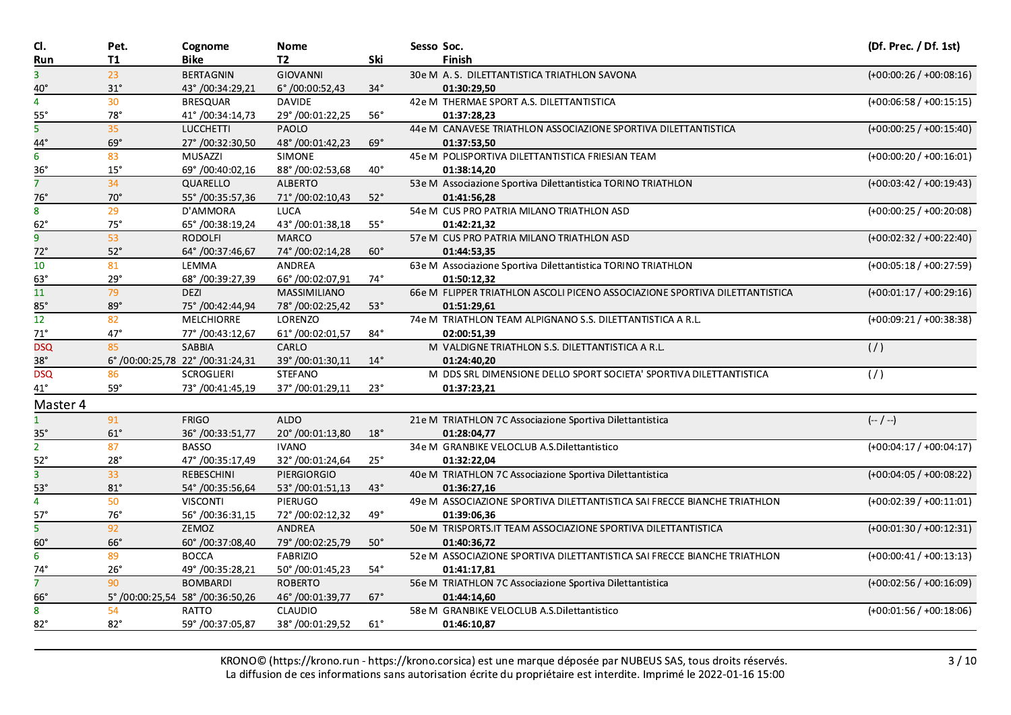| CI.                       | Pet.         | Cognome                        | <b>Nome</b>        |              | Sesso Soc.                                                                  | (Df. Prec. / Df. 1st)     |
|---------------------------|--------------|--------------------------------|--------------------|--------------|-----------------------------------------------------------------------------|---------------------------|
| Run                       | <b>T1</b>    | <b>Bike</b>                    | T <sub>2</sub>     | Ski          | <b>Finish</b>                                                               |                           |
| $\overline{3}$            | 23           | <b>BERTAGNIN</b>               | <b>GIOVANNI</b>    |              | 30e M A. S. DILETTANTISTICA TRIATHLON SAVONA                                | $(+00:00:26 / +00:08:16)$ |
| $40^{\circ}$              | $31^\circ$   | 43°/00:34:29,21                | 6°/00:00:52,43     | $34^\circ$   | 01:30:29,50                                                                 |                           |
| $\overline{4}$            | 30           | <b>BRESQUAR</b>                | <b>DAVIDE</b>      |              | 42e M THERMAE SPORT A.S. DILETTANTISTICA                                    | $(+00:06:58 / +00:15:15)$ |
| $55^\circ$                | $78^\circ$   | 41°/00:34:14,73                | 29°/00:01:22,25    | $56^\circ$   | 01:37:28,23                                                                 |                           |
| $\overline{5}$            | 35           | <b>LUCCHETTI</b>               | <b>PAOLO</b>       |              | 44e M CANAVESE TRIATHLON ASSOCIAZIONE SPORTIVA DILETTANTISTICA              | $(+00:00:25 / +00:15:40)$ |
| $\frac{44^{\circ}}{6}$    | $69^\circ$   | 27°/00:32:30,50                | 48°/00:01:42,23    | $69^{\circ}$ | 01:37:53,50                                                                 |                           |
|                           | 83           | <b>MUSAZZI</b>                 | <b>SIMONE</b>      |              | 45e M POLISPORTIVA DILETTANTISTICA FRIESIAN TEAM                            | $(+00:00:20/+00:16:01)$   |
| $36^\circ$                | $15^{\circ}$ | 69°/00:40:02,16                | 88°/00:02:53,68    | $40^{\circ}$ | 01:38:14.20                                                                 |                           |
| 7                         | 34           | QUARELLO                       | <b>ALBERTO</b>     |              | 53e M Associazione Sportiva Dilettantistica TORINO TRIATHLON                | $(+00:03:42 / +00:19:43)$ |
| 76°                       | $70^{\circ}$ | 55°/00:35:57,36                | 71°/00:02:10,43    | $52^\circ$   | 01:41:56,28                                                                 |                           |
| 8                         | 29           | D'AMMORA                       | LUCA               |              | 54e M CUS PRO PATRIA MILANO TRIATHLON ASD                                   | $(+00:00:25 / +00:20:08)$ |
| $\frac{62^{\circ}}{9}$    | $75^\circ$   | 65°/00:38:19,24                | 43°/00:01:38,18    | $55^\circ$   | 01:42:21,32                                                                 |                           |
|                           | 53           | <b>RODOLFI</b>                 | <b>MARCO</b>       |              | 57e M CUS PRO PATRIA MILANO TRIATHLON ASD                                   | $(+00:02:32 / +00:22:40)$ |
| $72^\circ$                | $52^{\circ}$ | 64°/00:37:46,67                | 74°/00:02:14,28    | $60^\circ$   | 01:44:53,35                                                                 |                           |
| 10                        | 81           | LEMMA                          | <b>ANDREA</b>      |              | 63e M Associazione Sportiva Dilettantistica TORINO TRIATHLON                | $(+00:05:18/+00:27:59)$   |
| $\frac{63^{\circ}}{11}$   | $29^\circ$   | 68°/00:39:27,39                | 66°/00:02:07,91    | $74^\circ$   | 01:50:12,32                                                                 |                           |
|                           | 79           | <b>DEZI</b>                    | MASSIMILIANO       |              | 66e M FLIPPER TRIATHLON ASCOLI PICENO ASSOCIAZIONE SPORTIVA DILETTANTISTICA | $(+00:01:17 / +00:29:16)$ |
| $\frac{85^{\circ}}{12}$   | $89^\circ$   | 75°/00:42:44,94                | 78°/00:02:25,42    | $53^\circ$   | 01:51:29,61                                                                 |                           |
|                           | 82           | <b>MELCHIORRE</b>              | LORENZO            |              | 74e M TRIATHLON TEAM ALPIGNANO S.S. DILETTANTISTICA A R.L.                  | $(+00:09:21/+00:38:38)$   |
| $71^{\circ}$              | $47^\circ$   | 77°/00:43:12,67                | 61°/00:02:01,57    | $84^\circ$   | 02:00:51,39                                                                 |                           |
| <b>DSQ</b>                | 85           | <b>SABBIA</b>                  | CARLO              |              | M VALDIGNE TRIATHLON S.S. DILETTANTISTICA A R.L.                            | (1)                       |
| $38^\circ$                |              | 6°/00:00:25,78 22°/00:31:24,31 | 39°/00:01:30,11    | $14^{\circ}$ | 01:24:40.20                                                                 |                           |
| DSQ                       | 86           | <b>SCROGLIERI</b>              | <b>STEFANO</b>     |              | M DDS SRL DIMENSIONE DELLO SPORT SOCIETA' SPORTIVA DILETTANTISTICA          | (1)                       |
| $41^{\circ}$              | $59^\circ$   | 73°/00:41:45,19                | 37°/00:01:29,11    | $23^\circ$   | 01:37:23,21                                                                 |                           |
| Master 4                  |              |                                |                    |              |                                                                             |                           |
| $\mathbf{1}$              | 91           | <b>FRIGO</b>                   | ALDO               |              | 21e M TRIATHLON 7C Associazione Sportiva Dilettantistica                    | $(-/ -)$                  |
| $35^\circ$                | $61^\circ$   | 36°/00:33:51,77                | 20°/00:01:13,80    | $18^\circ$   | 01:28:04,77                                                                 |                           |
| $\overline{2}$            | 87           | <b>BASSO</b>                   | <b>IVANO</b>       |              | 34e M GRANBIKE VELOCLUB A.S.Dilettantistico                                 | $(+00:04:17 / +00:04:17)$ |
| $\frac{52^{\circ}}{3}$    | $28^\circ$   | 47°/00:35:17,49                | 32°/00:01:24,64    | $25^\circ$   | 01:32:22,04                                                                 |                           |
|                           | 33           | REBESCHINI                     | <b>PIERGIORGIO</b> |              | 40e M TRIATHLON 7C Associazione Sportiva Dilettantistica                    | $(+00:04:05 / +00:08:22)$ |
| $\frac{53^{\circ}}{4}$    | $81^\circ$   | 54°/00:35:56,64                | 53°/00:01:51,13    | $43^{\circ}$ | 01:36:27,16                                                                 |                           |
|                           | 50           | <b>VISCONTI</b>                | <b>PIERUGO</b>     |              | 49e M ASSOCIAZIONE SPORTIVA DILETTANTISTICA SAI FRECCE BIANCHE TRIATHLON    | $(+00:02:39 / +00:11:01)$ |
| $57^\circ$                | $76^\circ$   | 56°/00:36:31,15                | 72°/00:02:12,32    | $49^{\circ}$ | 01:39:06,36                                                                 |                           |
| $\overline{5}$            | 92           | ZEMOZ                          | <b>ANDREA</b>      |              | 50e M TRISPORTS.IT TEAM ASSOCIAZIONE SPORTIVA DILETTANTISTICA               | $(+00:01:30/+00:12:31)$   |
| $60^\circ$                | $66^\circ$   | 60°/00:37:08,40                | 79°/00:02:25,79    | $50^\circ$   | 01:40:36,72                                                                 |                           |
| $\overline{6}$            | 89           | <b>BOCCA</b>                   | <b>FABRIZIO</b>    |              | 52e M ASSOCIAZIONE SPORTIVA DILETTANTISTICA SAI FRECCE BIANCHE TRIATHLON    | $(+00:00:41 / +00:13:13)$ |
| $74^\circ$                | $26^{\circ}$ | 49°/00:35:28,21                | 50°/00:01:45,23    | $54^\circ$   | 01:41:17.81                                                                 |                           |
| $\overline{7}$            | 90           | <b>BOMBARDI</b>                | <b>ROBERTO</b>     |              | 56e M TRIATHLON 7C Associazione Sportiva Dilettantistica                    | $(+00:02:56/+00:16:09)$   |
| $66^\circ$                |              | 5°/00:00:25,54 58°/00:36:50,26 | 46°/00:01:39,77    | $67^\circ$   | 01:44:14,60                                                                 |                           |
| $\overline{\overline{8}}$ | 54           | RATTO                          | <b>CLAUDIO</b>     |              | 58e M GRANBIKE VELOCLUB A.S.Dilettantistico                                 | $(+00:01:56 / +00:18:06)$ |
| $82^{\circ}$              | $82^\circ$   | 59°/00:37:05,87                | 38°/00:01:29,52    | $61^{\circ}$ | 01:46:10,87                                                                 |                           |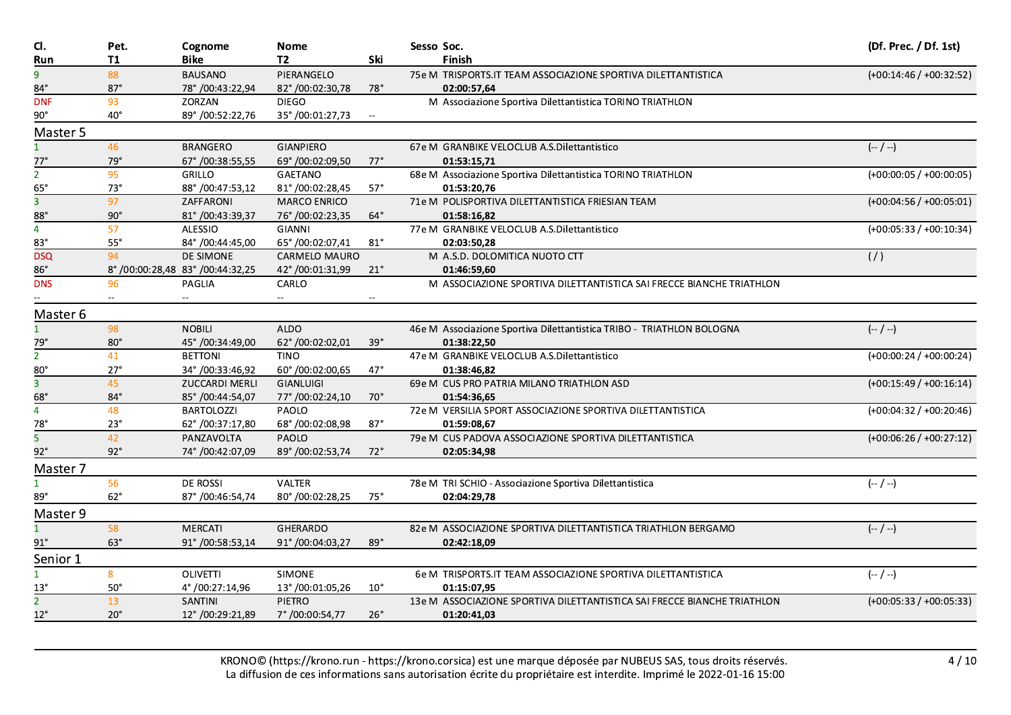| CI.                      | Pet.                        | Cognome                        | <b>Nome</b>          |              | Sesso Soc.                                                               | (Df. Prec. / Df. 1st)     |
|--------------------------|-----------------------------|--------------------------------|----------------------|--------------|--------------------------------------------------------------------------|---------------------------|
| Run                      | <b>T1</b>                   | <b>Bike</b>                    | T <sub>2</sub>       | Ski          | <b>Finish</b>                                                            |                           |
| 9                        | 88                          | <b>BAUSANO</b>                 | PIERANGELO           |              | 75e M TRISPORTS.IT TEAM ASSOCIAZIONE SPORTIVA DILETTANTISTICA            | $(+00:14:46/+00:32:52)$   |
| $84^\circ$               | $87^\circ$                  | 78°/00:43:22,94                | 82°/00:02:30,78      | $78^\circ$   | 02:00:57,64                                                              |                           |
| <b>DNF</b>               | 93                          | ZORZAN                         | <b>DIEGO</b>         |              | M Associazione Sportiva Dilettantistica TORINO TRIATHLON                 |                           |
| $90^{\circ}$             | $40^{\circ}$                | 89°/00:52:22,76                | 35°/00:01:27,73      |              |                                                                          |                           |
| Master 5                 |                             |                                |                      |              |                                                                          |                           |
| $\mathbf{1}$             | 46                          | <b>BRANGERO</b>                | <b>GIANPIERO</b>     |              | 67e M GRANBIKE VELOCLUB A.S.Dilettantistico                              | $(- / -)$                 |
|                          | $79^\circ$                  | 67°/00:38:55,55                | 69°/00:02:09,50      | $77^\circ$   | 01:53:15,71                                                              |                           |
| $\frac{77^{\circ}}{2}$   | 95                          | <b>GRILLO</b>                  | <b>GAETANO</b>       |              | 68e M Associazione Sportiva Dilettantistica TORINO TRIATHLON             | $(+00:00:05 / +00:00:05)$ |
| $65^{\circ}$             | $73^\circ$                  | 88°/00:47:53,12                | 81°/00:02:28,45      | $57^\circ$   | 01:53:20,76                                                              |                           |
| $\overline{3}$           | 97                          | ZAFFARONI                      | <b>MARCO ENRICO</b>  |              | 71e M POLISPORTIVA DILETTANTISTICA FRIESIAN TEAM                         | $(+00:04:56 / +00:05:01)$ |
| $88^\circ$               | $90^{\circ}$                | 81°/00:43:39,37                | 76°/00:02:23,35      | $64^{\circ}$ | 01:58:16,82                                                              |                           |
| $\overline{4}$           | 57                          | ALESSIO                        | <b>GIANNI</b>        |              | 77e M GRANBIKE VELOCLUB A.S.Dilettantistico                              | $(+00:05:33 / +00:10:34)$ |
| $83^\circ$               | $55^{\circ}$                | 84°/00:44:45,00                | 65°/00:02:07,41      | $81^\circ$   | 02:03:50,28                                                              |                           |
| <b>DSQ</b>               | 94                          | <b>DE SIMONE</b>               | <b>CARMELO MAURO</b> |              | M A.S.D. DOLOMITICA NUOTO CTT                                            | $($ / $)$                 |
| $86^\circ$               |                             | 8°/00:00:28,48 83°/00:44:32,25 | 42°/00:01:31,99      | $21^{\circ}$ | 01:46:59,60                                                              |                           |
| <b>DNS</b>               | 96                          | PAGLIA                         | CARLO                |              | M ASSOCIAZIONE SPORTIVA DILETTANTISTICA SAI FRECCE BIANCHE TRIATHLON     |                           |
|                          | $\mathcal{L}_{\mathcal{F}}$ | $\overline{\phantom{a}}$       |                      |              |                                                                          |                           |
| Master 6                 |                             |                                |                      |              |                                                                          |                           |
| $\mathbf{1}$             | 98                          | <b>NOBILI</b>                  | <b>ALDO</b>          |              | 46e M Associazione Sportiva Dilettantistica TRIBO - TRIATHLON BOLOGNA    | $(- / -)$                 |
| $\frac{79^{\circ}}{25}$  | $80^\circ$                  | 45°/00:34:49,00                | 62°/00:02:02,01      | $39^\circ$   | 01:38:22,50                                                              |                           |
| $\overline{2}$           | 41                          | <b>BETTONI</b>                 | <b>TINO</b>          |              | 47e M GRANBIKE VELOCLUB A.S.Dilettantistico                              | $(+00:00:24 / +00:00:24)$ |
| $80^\circ$               | $27^\circ$                  | 34°/00:33:46,92                | 60°/00:02:00,65      | $47^\circ$   | 01:38:46,82                                                              |                           |
| $\overline{3}$           | 45                          | <b>ZUCCARDI MERLI</b>          | <b>GIANLUIGI</b>     |              | 69e M CUS PRO PATRIA MILANO TRIATHLON ASD                                | $(+00:15:49/+00:16:14)$   |
| $68^\circ$               | $84^{\circ}$                | 85°/00:44:54,07                | 77°/00:02:24,10      | $70^{\circ}$ | 01:54:36,65                                                              |                           |
| $\overline{4}$           | 48                          | <b>BARTOLOZZI</b>              | PAOLO                |              | 72e M VERSILIA SPORT ASSOCIAZIONE SPORTIVA DILETTANTISTICA               | $(+00:04:32 / +00:20:46)$ |
| $\frac{78^{\circ}}{255}$ | $23^\circ$                  | 62°/00:37:17,80                | 68°/00:02:08,98      | $87^\circ$   | 01:59:08,67                                                              |                           |
| $\overline{5}$           | 42                          | PANZAVOLTA                     | PAOLO                |              | 79e M CUS PADOVA ASSOCIAZIONE SPORTIVA DILETTANTISTICA                   | $(+00:06:26 / +00:27:12)$ |
| $92^\circ$               | $92^\circ$                  | 74°/00:42:07,09                | 89°/00:02:53,74      | $72^\circ$   | 02:05:34,98                                                              |                           |
| Master 7                 |                             |                                |                      |              |                                                                          |                           |
| $\mathbf{1}$             | 56                          | <b>DE ROSSI</b>                | VALTER               |              | 78e M TRI SCHIO - Associazione Sportiva Dilettantistica                  | $(-/ -)$                  |
| $89^\circ$               | $62^\circ$                  | 87°/00:46:54,74                | 80°/00:02:28,25      | $75^\circ$   | 02:04:29,78                                                              |                           |
| Master 9                 |                             |                                |                      |              |                                                                          |                           |
| $\mathbf{1}$             | 58                          | MERCATI                        | GHERARDO             |              | 82e M ASSOCIAZIONE SPORTIVA DILETTANTISTICA TRIATHLON BERGAMO            | $(-/ -)$                  |
| $91^\circ$               | $63^\circ$                  | 91°/00:58:53,14                | 91°/00:04:03,27      | $89^\circ$   | 02:42:18,09                                                              |                           |
| Senior 1                 |                             |                                |                      |              |                                                                          |                           |
| $\mathbf{1}$             | 8                           | <b>OLIVETTI</b>                | <b>SIMONE</b>        |              | 6e M TRISPORTS.IT TEAM ASSOCIAZIONE SPORTIVA DILETTANTISTICA             | $(-/ -)$                  |
| $13^\circ$               | $50^{\circ}$                | 4°/00:27:14,96                 | 13°/00:01:05,26      | $10^{\circ}$ | 01:15:07,95                                                              |                           |
| $\overline{2}$           | 13                          | SANTINI                        | PIETRO               |              | 13e M ASSOCIAZIONE SPORTIVA DILETTANTISTICA SAI FRECCE BIANCHE TRIATHLON | $(+00:05:33 / +00:05:33)$ |
| $12^{\circ}$             | $20^{\circ}$                | 12°/00:29:21,89                | 7°/00:00:54,77       | $26^\circ$   | 01:20:41,03                                                              |                           |
|                          |                             |                                |                      |              |                                                                          |                           |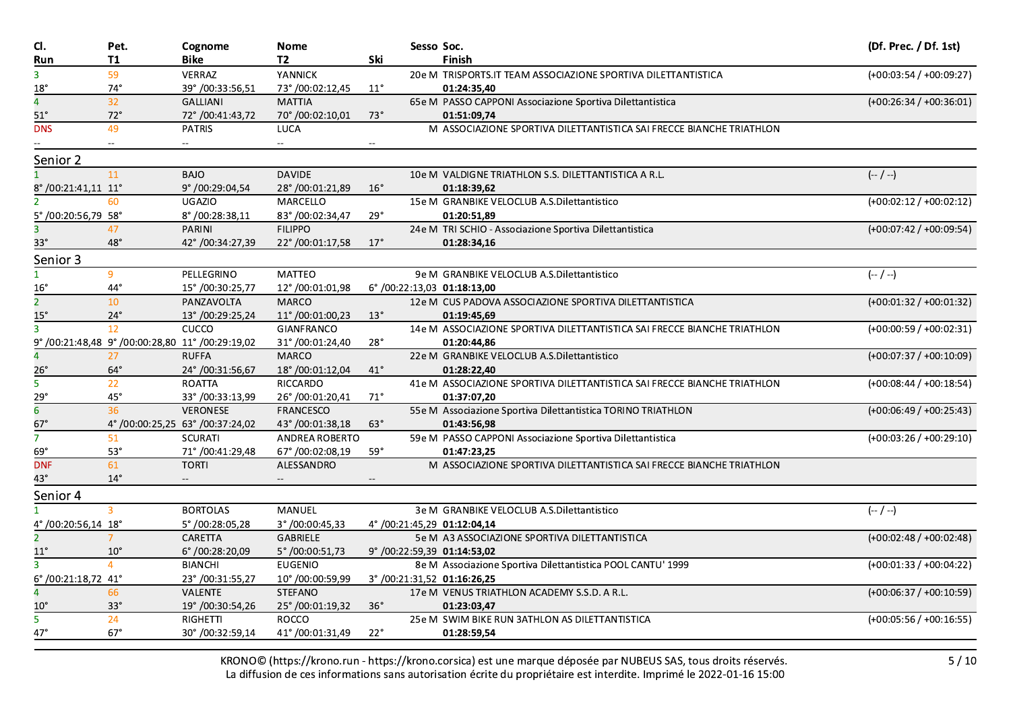| <b>T1</b><br><b>Bike</b><br>Finish<br>T2<br>Ski<br>Run<br>VERRAZ<br>3 <sup>1</sup><br>59<br><b>YANNICK</b><br>20e M TRISPORTS.IT TEAM ASSOCIAZIONE SPORTIVA DILETTANTISTICA<br>$74^\circ$<br>$18^\circ$<br>39°/00:33:56,51<br>73°/00:02:12,45<br>$11^{\circ}$<br>01:24:35,40<br>$\overline{4}$<br>32<br><b>GALLIANI</b><br><b>MATTIA</b><br>65e M PASSO CAPPONI Associazione Sportiva Dilettantistica<br>$51^\circ$<br>$72^\circ$<br>72°/00:41:43,72<br>70°/00:02:10,01<br>$73^\circ$<br>01:51:09,74<br>M ASSOCIAZIONE SPORTIVA DILETTANTISTICA SAI FRECCE BIANCHE TRIATHLON<br><b>DNS</b><br>49<br><b>PATRIS</b><br><b>LUCA</b> | $(+00:03:54 / +00:09:27)$<br>$(+00:26:34 / +00:36:01)$ |
|----------------------------------------------------------------------------------------------------------------------------------------------------------------------------------------------------------------------------------------------------------------------------------------------------------------------------------------------------------------------------------------------------------------------------------------------------------------------------------------------------------------------------------------------------------------------------------------------------------------------------------|--------------------------------------------------------|
|                                                                                                                                                                                                                                                                                                                                                                                                                                                                                                                                                                                                                                  |                                                        |
|                                                                                                                                                                                                                                                                                                                                                                                                                                                                                                                                                                                                                                  |                                                        |
|                                                                                                                                                                                                                                                                                                                                                                                                                                                                                                                                                                                                                                  |                                                        |
|                                                                                                                                                                                                                                                                                                                                                                                                                                                                                                                                                                                                                                  |                                                        |
|                                                                                                                                                                                                                                                                                                                                                                                                                                                                                                                                                                                                                                  |                                                        |
|                                                                                                                                                                                                                                                                                                                                                                                                                                                                                                                                                                                                                                  |                                                        |
| $\mathbb{H}^{\mathbb{H}}$<br>$\overline{\phantom{a}}$<br>$\sim$                                                                                                                                                                                                                                                                                                                                                                                                                                                                                                                                                                  |                                                        |
| Senior 2                                                                                                                                                                                                                                                                                                                                                                                                                                                                                                                                                                                                                         |                                                        |
| 11<br><b>BAJO</b><br><b>DAVIDE</b><br>$(- / -)$<br>10e M VALDIGNE TRIATHLON S.S. DILETTANTISTICA A R.L.                                                                                                                                                                                                                                                                                                                                                                                                                                                                                                                          |                                                        |
| 8°/00:21:41,11 11°<br>9°/00:29:04,54<br>28°/00:01:21,89<br>$16^{\circ}$<br>01:18:39,62                                                                                                                                                                                                                                                                                                                                                                                                                                                                                                                                           |                                                        |
| 60<br>15e M GRANBIKE VELOCLUB A.S.Dilettantistico<br><b>UGAZIO</b><br>MARCELLO<br>2 <sup>1</sup>                                                                                                                                                                                                                                                                                                                                                                                                                                                                                                                                 | $(+00:02:12 / +00:02:12)$                              |
| 5°/00:20:56,79 58°<br>8°/00:28:38,11<br>83°/00:02:34,47<br>$29^\circ$<br>01:20:51,89                                                                                                                                                                                                                                                                                                                                                                                                                                                                                                                                             |                                                        |
| $\overline{3}$<br>47<br>24e M TRI SCHIO - Associazione Sportiva Dilettantistica<br>PARINI<br><b>FILIPPO</b>                                                                                                                                                                                                                                                                                                                                                                                                                                                                                                                      | $(+00:07:42 / +00:09:54)$                              |
| $33^\circ$<br>$48^\circ$<br>42°/00:34:27,39<br>22°/00:01:17,58<br>$17^\circ$<br>01:28:34,16                                                                                                                                                                                                                                                                                                                                                                                                                                                                                                                                      |                                                        |
| Senior 3                                                                                                                                                                                                                                                                                                                                                                                                                                                                                                                                                                                                                         |                                                        |
| 9<br>PELLEGRINO<br>$(-/ -)$<br>$\mathbf{1}$<br>MATTEO<br>9e M GRANBIKE VELOCLUB A.S.Dilettantistico                                                                                                                                                                                                                                                                                                                                                                                                                                                                                                                              |                                                        |
| $44^{\circ}$<br>15°/00:30:25,77<br>12°/00:01:01,98<br>6°/00:22:13,03 01:18:13,00<br>$16^{\circ}$                                                                                                                                                                                                                                                                                                                                                                                                                                                                                                                                 |                                                        |
| $\overline{2}$<br>10<br>PANZAVOLTA<br><b>MARCO</b><br>12e M CUS PADOVA ASSOCIAZIONE SPORTIVA DILETTANTISTICA                                                                                                                                                                                                                                                                                                                                                                                                                                                                                                                     | $(+00:01:32 / +00:01:32)$                              |
| $24^{\circ}$<br>13°/00:29:25,24<br>11°/00:01:00,23<br>$15^\circ$<br>$13^\circ$<br>01:19:45,69                                                                                                                                                                                                                                                                                                                                                                                                                                                                                                                                    |                                                        |
| $\overline{3}$<br>12<br>CUCCO<br><b>GIANFRANCO</b><br>14e M ASSOCIAZIONE SPORTIVA DILETTANTISTICA SAI FRECCE BIANCHE TRIATHLON                                                                                                                                                                                                                                                                                                                                                                                                                                                                                                   | $(+00:00:59 / +00:02:31)$                              |
| 9°/00:21:48,48 9°/00:00:28,80 11°/00:29:19,02<br>$28^\circ$<br>31°/00:01:24,40<br>01:20:44,86                                                                                                                                                                                                                                                                                                                                                                                                                                                                                                                                    |                                                        |
| $\overline{4}$<br><b>RUFFA</b><br>22e M GRANBIKE VELOCLUB A.S.Dilettantistico<br>27<br><b>MARCO</b>                                                                                                                                                                                                                                                                                                                                                                                                                                                                                                                              | $(+00:07:37 / +00:10:09)$                              |
| $64^{\circ}$<br>$26^\circ$<br>24°/00:31:56,67<br>18°/00:01:12,04<br>$41^{\circ}$<br>01:28:22,40                                                                                                                                                                                                                                                                                                                                                                                                                                                                                                                                  |                                                        |
| $\overline{5}$<br>22<br><b>ROATTA</b><br><b>RICCARDO</b><br>41e M ASSOCIAZIONE SPORTIVA DILETTANTISTICA SAI FRECCE BIANCHE TRIATHLON                                                                                                                                                                                                                                                                                                                                                                                                                                                                                             | $(+00:08:44 / +00:18:54)$                              |
| $45^{\circ}$<br>$\frac{29^{\circ}}{6}$<br>33°/00:33:13,99<br>26°/00:01:20,41<br>$71^\circ$<br>01:37:07,20                                                                                                                                                                                                                                                                                                                                                                                                                                                                                                                        |                                                        |
| 36<br><b>VERONESE</b><br><b>FRANCESCO</b><br>55e M Associazione Sportiva Dilettantistica TORINO TRIATHLON                                                                                                                                                                                                                                                                                                                                                                                                                                                                                                                        | $(+00:06:49 / +00:25:43)$                              |
| 4°/00:00:25,25 63°/00:37:24,02<br>$67^\circ$<br>43°/00:01:38,18<br>$63^\circ$<br>01:43:56,98                                                                                                                                                                                                                                                                                                                                                                                                                                                                                                                                     |                                                        |
| $\overline{7}$<br><b>SCURATI</b><br>ANDREA ROBERTO<br>59e M PASSO CAPPONI Associazione Sportiva Dilettantistica<br>51                                                                                                                                                                                                                                                                                                                                                                                                                                                                                                            | $(+00:03:26/+00:29:10)$                                |
| $53^\circ$<br>$69^\circ$<br>71°/00:41:29,48<br>67°/00:02:08,19<br>$59^\circ$<br>01:47:23,25                                                                                                                                                                                                                                                                                                                                                                                                                                                                                                                                      |                                                        |
| <b>DNF</b><br>61<br><b>TORTI</b><br>M ASSOCIAZIONE SPORTIVA DILETTANTISTICA SAI FRECCE BIANCHE TRIATHLON<br>ALESSANDRO                                                                                                                                                                                                                                                                                                                                                                                                                                                                                                           |                                                        |
| $14^{\circ}$<br>$43^\circ$<br>$\overline{\phantom{a}}$                                                                                                                                                                                                                                                                                                                                                                                                                                                                                                                                                                           |                                                        |
| Senior 4                                                                                                                                                                                                                                                                                                                                                                                                                                                                                                                                                                                                                         |                                                        |
| $\overline{3}$<br><b>BORTOLAS</b><br>MANUEL<br>$(-/ -)$<br>$\mathbf{1}$<br>3e M GRANBIKE VELOCLUB A.S.Dilettantistico                                                                                                                                                                                                                                                                                                                                                                                                                                                                                                            |                                                        |
| 4°/00:20:56,14 18°<br>5°/00:28:05,28<br>3°/00:00:45,33<br>4°/00:21:45,29 01:12:04,14                                                                                                                                                                                                                                                                                                                                                                                                                                                                                                                                             |                                                        |
| 2 <sup>1</sup><br>5e M A3 ASSOCIAZIONE SPORTIVA DILETTANTISTICA<br>CARETTA<br>GABRIELE<br>$\overline{7}$                                                                                                                                                                                                                                                                                                                                                                                                                                                                                                                         | $(+00:02:48 / +00:02:48)$                              |
| $10^{\circ}$<br>6°/00:28:20,09<br>5°/00:00:51,73<br>$11^{\circ}$<br>$9^{\circ}$ /00:22:59,39 <b>01:14:53,02</b>                                                                                                                                                                                                                                                                                                                                                                                                                                                                                                                  |                                                        |
| $\overline{3}$<br><b>BIANCHI</b><br>$\Delta$<br><b>EUGENIO</b><br>8e M Associazione Sportiva Dilettantistica POOL CANTU' 1999                                                                                                                                                                                                                                                                                                                                                                                                                                                                                                    | $(+00:01:33 / +00:04:22)$                              |
| $6^{\circ}$ /00:21:18,72 41 $^{\circ}$<br>23°/00:31:55,27<br>10°/00:00:59,99<br>3°/00:21:31,52 01:16:26,25                                                                                                                                                                                                                                                                                                                                                                                                                                                                                                                       |                                                        |
| VALENTE<br>17e M VENUS TRIATHLON ACADEMY S.S.D. A R.L.<br>$\overline{4}$<br>66<br><b>STEFANO</b>                                                                                                                                                                                                                                                                                                                                                                                                                                                                                                                                 | $(+00:06:37/+00:10:59)$                                |
| $33^\circ$<br>19°/00:30:54,26<br>$36^\circ$<br>$10^{\circ}$<br>25°/00:01:19,32<br>01:23:03,47                                                                                                                                                                                                                                                                                                                                                                                                                                                                                                                                    |                                                        |
| 5 <sup>1</sup><br>24<br><b>RIGHETTI</b><br><b>ROCCO</b><br>25e M SWIM BIKE RUN 3ATHLON AS DILETTANTISTICA                                                                                                                                                                                                                                                                                                                                                                                                                                                                                                                        | $(+00:05:56/+00:16:55)$                                |
| $67^\circ$<br>$47^\circ$<br>30°/00:32:59,14<br>41°/00:01:31,49<br>$22^{\circ}$<br>01:28:59,54                                                                                                                                                                                                                                                                                                                                                                                                                                                                                                                                    |                                                        |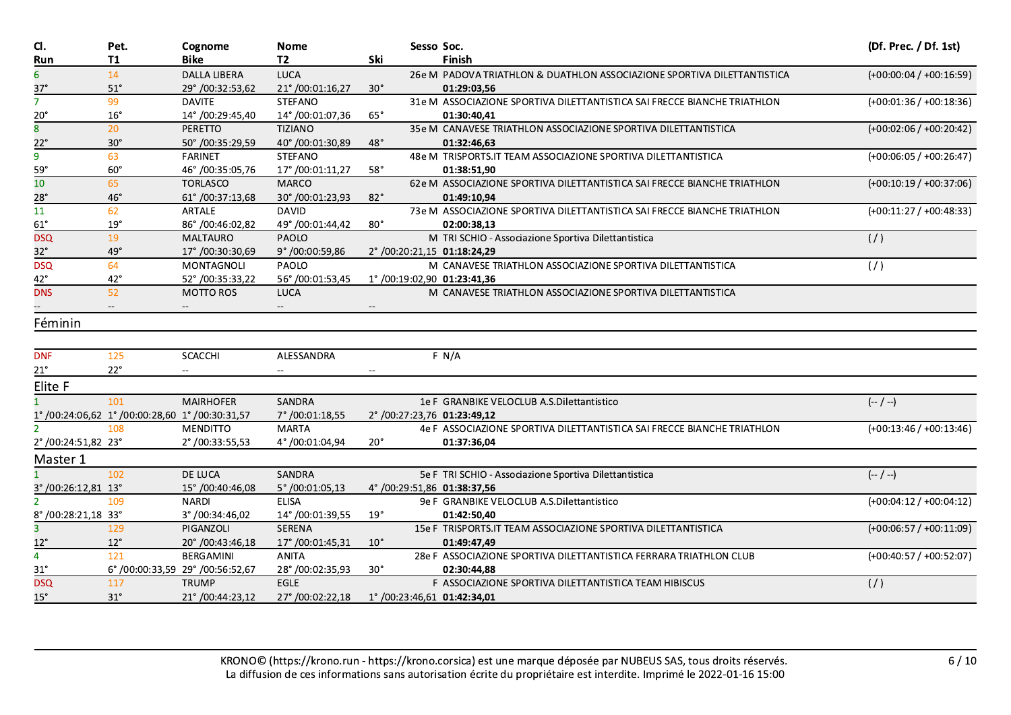| CI.                     | Pet.                     | Cognome                                        | <b>Nome</b>              |                          | Sesso Soc.                                                               | (Df. Prec. / Df. 1st)     |
|-------------------------|--------------------------|------------------------------------------------|--------------------------|--------------------------|--------------------------------------------------------------------------|---------------------------|
| Run                     | T1                       | <b>Bike</b>                                    | <b>T2</b>                | Ski                      | <b>Finish</b>                                                            |                           |
| 6                       | 14                       | <b>DALLA LIBERA</b>                            | <b>LUCA</b>              |                          | 26e M PADOVA TRIATHLON & DUATHLON ASSOCIAZIONE SPORTIVA DILETTANTISTICA  | $(+00:00:04 / +00:16:59)$ |
| $\frac{37^{\circ}}{7}$  | $51^\circ$               | 29°/00:32:53,62                                | 21°/00:01:16,27          | $30^\circ$               | 01:29:03,56                                                              |                           |
|                         | 99                       | <b>DAVITE</b>                                  | <b>STEFANO</b>           |                          | 31e M ASSOCIAZIONE SPORTIVA DILETTANTISTICA SAI FRECCE BIANCHE TRIATHLON | $(+00:01:36/+00:18:36)$   |
| $\frac{20^{\circ}}{8}$  | $16^{\circ}$             | 14°/00:29:45,40                                | 14°/00:01:07,36          | $65^\circ$               | 01:30:40,41                                                              |                           |
|                         | 20                       | PERETTO                                        | <b>TIZIANO</b>           |                          | 35e M CANAVESE TRIATHLON ASSOCIAZIONE SPORTIVA DILETTANTISTICA           | $(+00:02:06 / +00:20:42)$ |
| $22^\circ$              | $30^\circ$               | 50°/00:35:29,59                                | 40°/00:01:30,89          | $48^\circ$               | 01:32:46,63                                                              |                           |
| $\overline{9}$          | 63                       | <b>FARINET</b>                                 | <b>STEFANO</b>           |                          | 48e M TRISPORTS.IT TEAM ASSOCIAZIONE SPORTIVA DILETTANTISTICA            | $(+00:06:05 / +00:26:47)$ |
| $\frac{59^{\circ}}{10}$ | $60^\circ$               | 46°/00:35:05,76                                | 17°/00:01:11,27          | $58^\circ$               | 01:38:51,90                                                              |                           |
|                         | 65                       | <b>TORLASCO</b>                                | <b>MARCO</b>             |                          | 62e M ASSOCIAZIONE SPORTIVA DILETTANTISTICA SAI FRECCE BIANCHE TRIATHLON | $(+00:10:19 / +00:37:06)$ |
| $28^\circ$              | $46^{\circ}$             | 61°/00:37:13,68                                | 30°/00:01:23,93          | $82^\circ$               | 01:49:10,94                                                              |                           |
| $\overline{11}$         | 62                       | ARTALE                                         | <b>DAVID</b>             |                          | 73e M ASSOCIAZIONE SPORTIVA DILETTANTISTICA SAI FRECCE BIANCHE TRIATHLON | $(+00:11:27/+00:48:33)$   |
| $61^\circ$              | 19°                      | 86°/00:46:02,82                                | 49°/00:01:44,42          | $80^\circ$               | 02:00:38,13                                                              |                           |
| <b>DSQ</b>              | 19                       | <b>MALTAURO</b>                                | PAOLO                    |                          | M TRI SCHIO - Associazione Sportiva Dilettantistica                      | (1)                       |
| $32^\circ$              | $49^\circ$               | 17°/00:30:30,69                                | 9°/00:00:59,86           |                          | 2°/00:20:21,15 01:18:24,29                                               |                           |
| DSQ                     | 64                       | <b>MONTAGNOLI</b>                              | <b>PAOLO</b>             |                          | M CANAVESE TRIATHLON ASSOCIAZIONE SPORTIVA DILETTANTISTICA               | (1)                       |
| $42^{\circ}$            | $42^{\circ}$             | 52°/00:35:33,22                                | 56°/00:01:53,45          |                          | 1°/00:19:02,90 01:23:41,36                                               |                           |
| <b>DNS</b>              | 52                       | <b>MOTTO ROS</b>                               | <b>LUCA</b>              |                          | M CANAVESE TRIATHLON ASSOCIAZIONE SPORTIVA DILETTANTISTICA               |                           |
|                         | $\overline{\phantom{a}}$ | $\sim$                                         | $\overline{\phantom{a}}$ | $\overline{\phantom{a}}$ |                                                                          |                           |
| Féminin                 |                          |                                                |                          |                          |                                                                          |                           |
|                         |                          |                                                |                          |                          |                                                                          |                           |
| <b>DNF</b>              | 125                      | <b>SCACCHI</b>                                 | ALESSANDRA               |                          | F N/A                                                                    |                           |
| $21^{\circ}$            | $22^\circ$               |                                                |                          |                          |                                                                          |                           |
|                         |                          |                                                |                          |                          |                                                                          |                           |
| Elite F                 |                          |                                                |                          |                          |                                                                          |                           |
| $\mathbf{1}$            | 101                      | <b>MAIRHOFER</b>                               | <b>SANDRA</b>            |                          | 1e F GRANBIKE VELOCLUB A.S. Dilettantistico                              | $(-/ -)$                  |
|                         |                          | 1°/00:24:06,62  1°/00:00:28,60  1°/00:30:31,57 | 7°/00:01:18,55           |                          | 2°/00:27:23,76 01:23:49,12                                               |                           |
| $\mathcal{P}$           | 108                      | <b>MENDITTO</b>                                | <b>MARTA</b>             |                          | 4e F ASSOCIAZIONE SPORTIVA DILETTANTISTICA SAI FRECCE BIANCHE TRIATHLON  | $(+00:13:46/+00:13:46)$   |
| 2°/00:24:51,82 23°      |                          | 2°/00:33:55,53                                 | 4°/00:01:04,94           | $20^{\circ}$             | 01:37:36,04                                                              |                           |
| Master 1                |                          |                                                |                          |                          |                                                                          |                           |
|                         | 102                      | DE LUCA                                        | SANDRA                   |                          | 5e F TRI SCHIO - Associazione Sportiva Dilettantistica                   | $(-/ -)$                  |
| 3°/00:26:12,81 13°      |                          | 15°/00:40:46,08                                | 5°/00:01:05,13           |                          | 4°/00:29:51,86 01:38:37,56                                               |                           |
| $\overline{2}$          | 109                      | <b>NARDI</b>                                   | <b>ELISA</b>             |                          | 9e F GRANBIKE VELOCLUB A.S.Dilettantistico                               | $(+00:04:12 / +00:04:12)$ |
| 8°/00:28:21,18 33°      |                          | 3°/00:34:46,02                                 | 14°/00:01:39,55          | $19^{\circ}$             | 01:42:50,40                                                              |                           |
| $\overline{3}$          | 129                      | PIGANZOLI                                      | <b>SERENA</b>            |                          | 15e F TRISPORTS.IT TEAM ASSOCIAZIONE SPORTIVA DILETTANTISTICA            | $(+00:06:57/+00:11:09)$   |
| $12^{\circ}$            | $12^{\circ}$             | 20°/00:43:46,18                                | 17°/00:01:45,31          | $10^{\circ}$             | 01:49:47,49                                                              |                           |
| $\overline{4}$          | 121                      | <b>BERGAMINI</b>                               | <b>ANITA</b>             |                          | 28e F ASSOCIAZIONE SPORTIVA DILETTANTISTICA FERRARA TRIATHLON CLUB       | $(+00:40:57/+00:52:07)$   |
| $31^{\circ}$            |                          | 6°/00:00:33,59 29°/00:56:52,67                 | 28°/00:02:35,93          | $30^\circ$               | 02:30:44,88                                                              |                           |
| <b>DSQ</b>              | 117                      | <b>TRUMP</b>                                   | EGLE                     |                          | F ASSOCIAZIONE SPORTIVA DILETTANTISTICA TEAM HIBISCUS                    | (1)                       |
| $15^{\circ}$            | $31^\circ$               | 21°/00:44:23,12                                | 27°/00:02:22,18          |                          | 1°/00:23:46,61 <b>01:42:34,01</b>                                        |                           |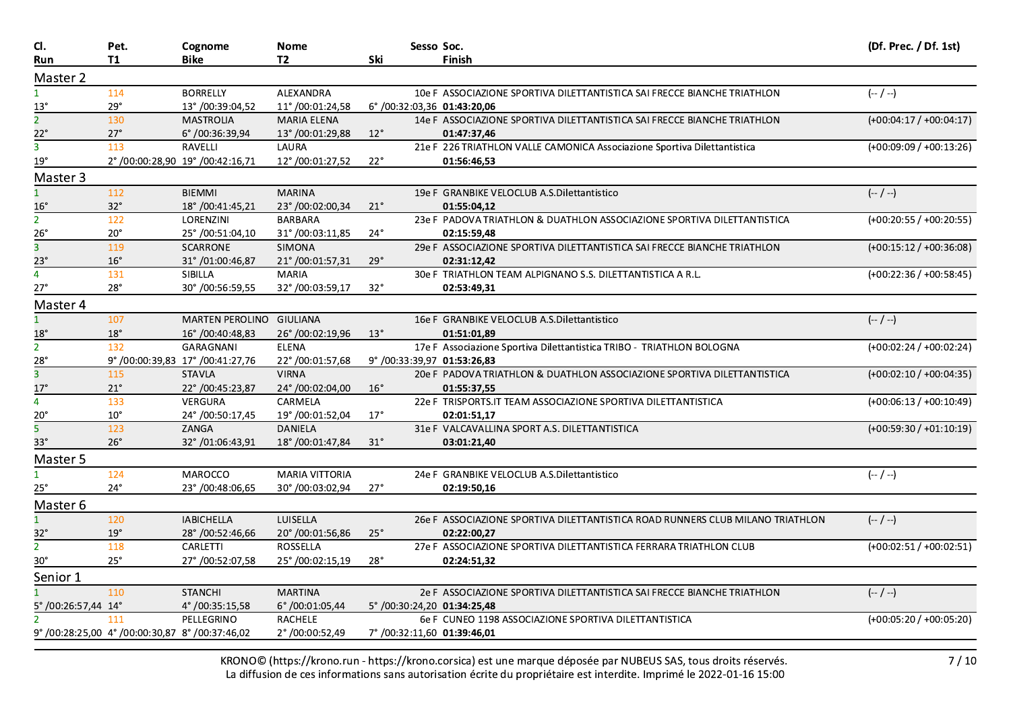| CI.                      | Pet.                                         | Cognome                        | <b>Nome</b>           |              | Sesso Soc.                                                                     | (Df. Prec. / Df. 1st)     |
|--------------------------|----------------------------------------------|--------------------------------|-----------------------|--------------|--------------------------------------------------------------------------------|---------------------------|
| Run                      | <b>T1</b>                                    | <b>Bike</b>                    | T2                    | Ski          | <b>Finish</b>                                                                  |                           |
| Master 2                 |                                              |                                |                       |              |                                                                                |                           |
| $\mathbf{1}$             | 114                                          | <b>BORRELLY</b>                | ALEXANDRA             |              | 10e F ASSOCIAZIONE SPORTIVA DILETTANTISTICA SAI FRECCE BIANCHE TRIATHLON       | $(- / -)$                 |
| $13^\circ$               | $29^\circ$                                   | 13°/00:39:04,52                | 11°/00:01:24,58       |              | 6°/00:32:03,36 01:43:20,06                                                     |                           |
| $\overline{2}$           | 130                                          | <b>MASTROLIA</b>               | <b>MARIA ELENA</b>    |              | 14e F ASSOCIAZIONE SPORTIVA DILETTANTISTICA SAI FRECCE BIANCHE TRIATHLON       | $(+00:04:17/+00:04:17)$   |
| $22^\circ$               | $27^\circ$                                   | 6°/00:36:39,94                 | 13°/00:01:29,88       | $12^{\circ}$ | 01:47:37,46                                                                    |                           |
| $\overline{3}$           | 113                                          | RAVELLI                        | LAURA                 |              | 21e F 226 TRIATHLON VALLE CAMONICA Associazione Sportiva Dilettantistica       | $(+00:09:09 / +00:13:26)$ |
| $19^{\circ}$             |                                              | 2°/00:00:28,90 19°/00:42:16,71 | 12°/00:01:27,52       | $22^\circ$   | 01:56:46,53                                                                    |                           |
| Master 3                 |                                              |                                |                       |              |                                                                                |                           |
| $\mathbf{1}$             | 112                                          | BIEMMI                         | <b>MARINA</b>         |              | 19e F GRANBIKE VELOCLUB A.S.Dilettantistico                                    | $(-/ -)$                  |
|                          | $32^{\circ}$                                 | 18°/00:41:45,21                | 23°/00:02:00,34       | $21^{\circ}$ | 01:55:04,12                                                                    |                           |
| $\frac{16^{\circ}}{2}$   | 122                                          | LORENZINI                      | <b>BARBARA</b>        |              | 23e F PADOVA TRIATHLON & DUATHLON ASSOCIAZIONE SPORTIVA DILETTANTISTICA        | $(+00:20:55 / +00:20:55)$ |
| $26^\circ$               | $20^{\circ}$                                 | 25°/00:51:04,10                | 31°/00:03:11,85       | $24^\circ$   | 02:15:59,48                                                                    |                           |
| $\overline{3}$           | 119                                          | <b>SCARRONE</b>                | <b>SIMONA</b>         |              | 29e F ASSOCIAZIONE SPORTIVA DILETTANTISTICA SAI FRECCE BIANCHE TRIATHLON       | $(+00:15:12 / +00:36:08)$ |
| $23^\circ$               | $16^{\circ}$                                 | 31°/01:00:46,87                | 21°/00:01:57,31       | $29^\circ$   | 02:31:12.42                                                                    |                           |
| $\overline{4}$           | 131                                          | SIBILLA                        | <b>MARIA</b>          |              | 30e F TRIATHLON TEAM ALPIGNANO S.S. DILETTANTISTICA A R.L.                     | $(+00:22:36/+00:58:45)$   |
| $27^\circ$               | $28^\circ$                                   | 30°/00:56:59,55                | 32°/00:03:59,17       | $32^\circ$   | 02:53:49,31                                                                    |                           |
| Master 4                 |                                              |                                |                       |              |                                                                                |                           |
| $\mathbf{1}$             | 107                                          | MARTEN PEROLINO GIULIANA       |                       |              | 16e F GRANBIKE VELOCLUB A.S. Dilettantistico                                   | $(-/ -)$                  |
| $\underline{18}^{\circ}$ | $18^{\circ}$                                 | 16°/00:40:48,83                | 26°/00:02:19,96       | $13^\circ$   | 01:51:01,89                                                                    |                           |
| $\overline{2}$           | 132                                          | <b>GARAGNANI</b>               | <b>ELENA</b>          |              | 17e F Associazione Sportiva Dilettantistica TRIBO - TRIATHLON BOLOGNA          | $(+00:02:24 / +00:02:24)$ |
| $28^\circ$               |                                              | 9°/00:00:39,83 17°/00:41:27,76 | 22°/00:01:57,68       |              | 9°/00:33:39,97 01:53:26,83                                                     |                           |
| 3 <sup>1</sup>           | 115                                          | <b>STAVLA</b>                  | <b>VIRNA</b>          |              | 20e F PADOVA TRIATHLON & DUATHLON ASSOCIAZIONE SPORTIVA DILETTANTISTICA        | $(+00:02:10/00:04:35)$    |
| $17^\circ$               | $21^{\circ}$                                 | 22°/00:45:23,87                | 24°/00:02:04,00       | $16^{\circ}$ | 01:55:37,55                                                                    |                           |
| $\overline{4}$           | 133                                          | <b>VERGURA</b>                 | CARMELA               |              | 22e F TRISPORTS.IT TEAM ASSOCIAZIONE SPORTIVA DILETTANTISTICA                  | $(+00:06:13 / +00:10:49)$ |
| $20^{\circ}$             | $10^{\circ}$                                 | 24°/00:50:17,45                | 19°/00:01:52,04       | $17^{\circ}$ | 02:01:51,17                                                                    |                           |
| $\overline{5}$           | 123                                          | <b>ZANGA</b>                   | DANIELA               |              | 31e F VALCAVALLINA SPORT A.S. DILETTANTISTICA                                  | $(+00:59:30/+01:10:19)$   |
| $33^\circ$               | $26^\circ$                                   | 32°/01:06:43,91                | 18°/00:01:47,84       | $31^\circ$   | 03:01:21,40                                                                    |                           |
| Master 5                 |                                              |                                |                       |              |                                                                                |                           |
| $\mathbf{1}$             | 124                                          | MAROCCO                        | <b>MARIA VITTORIA</b> |              | 24e F GRANBIKE VELOCLUB A.S.Dilettantistico                                    | $(-/ -)$                  |
| $25^\circ$               | $24^{\circ}$                                 | 23°/00:48:06,65                | 30°/00:03:02,94       | $27^\circ$   | 02:19:50,16                                                                    |                           |
| Master 6                 |                                              |                                |                       |              |                                                                                |                           |
| $\mathbf{1}$             | 120                                          | <b>IABICHELLA</b>              | LUISELLA              |              | 26e F ASSOCIAZIONE SPORTIVA DILETTANTISTICA ROAD RUNNERS CLUB MILANO TRIATHLON | $(-/ -)$                  |
| $32^\circ$               | $19^{\circ}$                                 | 28°/00:52:46,66                | 20°/00:01:56,86       | $25^\circ$   | 02:22:00,27                                                                    |                           |
| 2 <sup>1</sup>           | 118                                          | <b>CARLETTI</b>                | <b>ROSSELLA</b>       |              | 27e F ASSOCIAZIONE SPORTIVA DILETTANTISTICA FERRARA TRIATHLON CLUB             | $(+00:02:51/+00:02:51)$   |
| $30^{\circ}$             | $25^\circ$                                   | 27°/00:52:07,58                | 25°/00:02:15,19       | $28^\circ$   | 02:24:51,32                                                                    |                           |
| Senior 1                 |                                              |                                |                       |              |                                                                                |                           |
| $\mathbf{1}$             | 110                                          | <b>STANCHI</b>                 | MARTINA               |              | 2e F ASSOCIAZIONE SPORTIVA DILETTANTISTICA SAI FRECCE BIANCHE TRIATHLON        | $(-/ -)$                  |
| 5°/00:26:57,44 14°       |                                              | 4°/00:35:15,58                 | 6°/00:01:05,44        |              | 5°/00:30:24,20 01:34:25,48                                                     |                           |
|                          | 111                                          | PELLEGRINO                     | RACHELE               |              | 6e F CUNEO 1198 ASSOCIAZIONE SPORTIVA DILETTANTISTICA                          | $(+00:05:20/+00:05:20)$   |
|                          | 9°/00:28:25,00 4°/00:00:30,87 8°/00:37:46,02 |                                | 2°/00:00:52,49        |              | 7°/00:32:11,60 01:39:46,01                                                     |                           |
|                          |                                              |                                |                       |              |                                                                                |                           |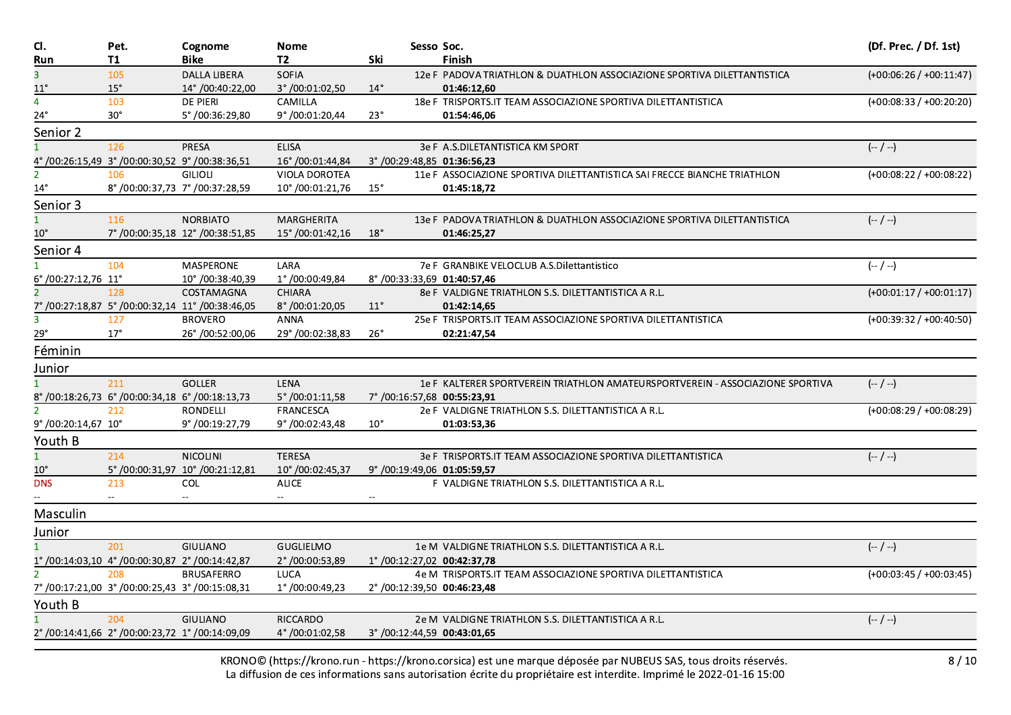| CI.                         | Pet.                                            | Cognome                                          | <b>Nome</b>          |              | Sesso Soc.                 |                                                                                | (Df. Prec. / Df. 1st)     |
|-----------------------------|-------------------------------------------------|--------------------------------------------------|----------------------|--------------|----------------------------|--------------------------------------------------------------------------------|---------------------------|
| Run                         | <b>T1</b>                                       | <b>Bike</b>                                      | T2                   | Ski          | <b>Finish</b>              |                                                                                |                           |
| $\overline{3}$              | 105                                             | <b>DALLA LIBERA</b>                              | <b>SOFIA</b>         |              |                            | 12e F PADOVA TRIATHLON & DUATHLON ASSOCIAZIONE SPORTIVA DILETTANTISTICA        | $(+00:06:26/+00:11:47)$   |
| $11^{\circ}$                | $15^\circ$                                      | 14°/00:40:22,00                                  | 3°/00:01:02,50       | $14^{\circ}$ |                            | 01:46:12,60                                                                    |                           |
| $\overline{4}$              | 103                                             | <b>DE PIERI</b>                                  | CAMILLA              |              |                            | 18e F TRISPORTS.IT TEAM ASSOCIAZIONE SPORTIVA DILETTANTISTICA                  | $(+00:08:33 / +00:20:20)$ |
| $24^{\circ}$                | $30^\circ$                                      | 5°/00:36:29,80                                   | 9°/00:01:20,44       | $23^\circ$   |                            | 01:54:46.06                                                                    |                           |
| Senior 2                    |                                                 |                                                  |                      |              |                            |                                                                                |                           |
|                             | 126                                             | PRESA                                            | <b>ELISA</b>         |              |                            | 3e F A.S.DILETANTISTICA KM SPORT                                               | $(- / -)$                 |
|                             | 4°/00:26:15,49 3°/00:00:30,52 9°/00:38:36,51    |                                                  | 16°/00:01:44,84      |              | 3°/00:29:48,85 01:36:56,23 |                                                                                |                           |
| 2 <sup>1</sup>              | 106                                             | <b>GILIOLI</b>                                   | <b>VIOLA DOROTEA</b> |              |                            | 11e F ASSOCIAZIONE SPORTIVA DILETTANTISTICA SAI FRECCE BIANCHE TRIATHLON       | $(+00:08:22 / +00:08:22)$ |
| $14^{\circ}$                |                                                 | 8°/00:00:37,73 7°/00:37:28,59                    | 10°/00:01:21,76      | $15^{\circ}$ |                            | 01:45:18,72                                                                    |                           |
| Senior 3                    |                                                 |                                                  |                      |              |                            |                                                                                |                           |
| $\mathbf{1}$                | 116                                             | <b>NORBIATO</b>                                  | MARGHERITA           |              |                            | 13e F PADOVA TRIATHLON & DUATHLON ASSOCIAZIONE SPORTIVA DILETTANTISTICA        | $(-/ -)$                  |
| $10^{\circ}$                |                                                 | 7° /00:00:35,18 12° /00:38:51,85                 | 15°/00:01:42,16      | $18^\circ$   |                            | 01:46:25,27                                                                    |                           |
| Senior 4                    |                                                 |                                                  |                      |              |                            |                                                                                |                           |
| $\mathbf{1}$                | 104                                             | MASPERONE                                        | LARA                 |              |                            | 7e F GRANBIKE VELOCLUB A.S.Dilettantistico                                     | $(-/ -)$                  |
| $6^{\circ}/00:27:12,76$ 11° |                                                 | 10°/00:38:40,39                                  | 1°/00:00:49,84       |              | 8°/00:33:33,69 01:40:57,46 |                                                                                |                           |
|                             | 128                                             | COSTAMAGNA                                       | <b>CHIARA</b>        |              |                            | 8e F VALDIGNE TRIATHLON S.S. DILETTANTISTICA A R.L.                            | $(+00:01:17/+00:01:17)$   |
|                             |                                                 | 7° /00:27:18,87 5° /00:00:32,14 11° /00:38:46,05 | 8°/00:01:20,05       | $11^{\circ}$ |                            | 01:42:14.65                                                                    |                           |
| $\overline{3}$              | 127                                             | <b>BROVERO</b>                                   | <b>ANNA</b>          |              |                            | 25e F TRISPORTS.IT TEAM ASSOCIAZIONE SPORTIVA DILETTANTISTICA                  | $(+00:39:32/+00:40:50)$   |
| $29^\circ$                  | $17^\circ$                                      | 26°/00:52:00,06                                  | 29°/00:02:38,83      | $26^{\circ}$ |                            | 02:21:47,54                                                                    |                           |
| Féminin                     |                                                 |                                                  |                      |              |                            |                                                                                |                           |
| Junior                      |                                                 |                                                  |                      |              |                            |                                                                                |                           |
|                             | $\overline{211}$                                | <b>GOLLER</b>                                    | <b>LENA</b>          |              |                            | 1e F KALTERER SPORTVEREIN TRIATHLON AMATEURSPORTVEREIN - ASSOCIAZIONE SPORTIVA | $(-/ -)$                  |
|                             | 8°/00:18:26,73 6°/00:00:34,18 6°/00:18:13,73    |                                                  | 5°/00:01:11,58       |              | 7°/00:16:57,68 00:55:23,91 |                                                                                |                           |
| 2 <sup>1</sup>              | 212                                             | <b>RONDELLI</b>                                  | <b>FRANCESCA</b>     |              |                            | 2e F VALDIGNE TRIATHLON S.S. DILETTANTISTICA A R.L.                            | $(+00:08:29/00:08:29)$    |
| 9°/00:20:14,67 10°          |                                                 | 9°/00:19:27,79                                   | 9°/00:02:43,48       | $10^{\circ}$ |                            | 01:03:53,36                                                                    |                           |
| Youth B                     |                                                 |                                                  |                      |              |                            |                                                                                |                           |
| $\mathbf{1}$                | 214                                             | <b>NICOLINI</b>                                  | <b>TERESA</b>        |              |                            | 3e F TRISPORTS.IT TEAM ASSOCIAZIONE SPORTIVA DILETTANTISTICA                   | $(- / -)$                 |
| <u>10°</u>                  |                                                 | 5°/00:00:31,97 10°/00:21:12,81                   | 10°/00:02:45,37      |              | 9°/00:19:49,06 01:05:59,57 |                                                                                |                           |
| <b>DNS</b>                  | 213                                             | COL                                              | <b>ALICE</b>         |              |                            | F VALDIGNE TRIATHLON S.S. DILETTANTISTICA A R.L.                               |                           |
|                             |                                                 |                                                  | $\sim$               |              |                            |                                                                                |                           |
| Masculin                    |                                                 |                                                  |                      |              |                            |                                                                                |                           |
| Junior                      |                                                 |                                                  |                      |              |                            |                                                                                |                           |
|                             | 201                                             | <b>GIULIANO</b>                                  | <b>GUGLIELMO</b>     |              |                            | 1e M VALDIGNE TRIATHLON S.S. DILETTANTISTICA A R.L.                            | $(-/ -)$                  |
|                             | 1°/00:14:03,10 4°/00:00:30,87 2°/00:14:42,87    |                                                  | 2°/00:00:53,89       |              | 1°/00:12:27,02 00:42:37,78 |                                                                                |                           |
| $2^{\circ}$                 | 208                                             | <b>BRUSAFERRO</b>                                | <b>LUCA</b>          |              |                            | 4e M TRISPORTS.IT TEAM ASSOCIAZIONE SPORTIVA DILETTANTISTICA                   | $(+00:03:45 / +00:03:45)$ |
|                             | 7° /00:17:21,00 3° /00:00:25,43 3° /00:15:08,31 |                                                  | 1°/00:00:49,23       |              | 2°/00:12:39,50 00:46:23,48 |                                                                                |                           |
| Youth B                     |                                                 |                                                  |                      |              |                            |                                                                                |                           |
|                             | 204                                             | <b>GIULIANO</b>                                  | <b>RICCARDO</b>      |              |                            | 2e M VALDIGNE TRIATHLON S.S. DILETTANTISTICA A R.L.                            | $(-/ -)$                  |
|                             | 2°/00:14:41,66 2°/00:00:23,72 1°/00:14:09,09    |                                                  | 4°/00:01:02,58       |              | 3°/00:12:44,59 00:43:01,65 |                                                                                |                           |
|                             |                                                 |                                                  |                      |              |                            |                                                                                |                           |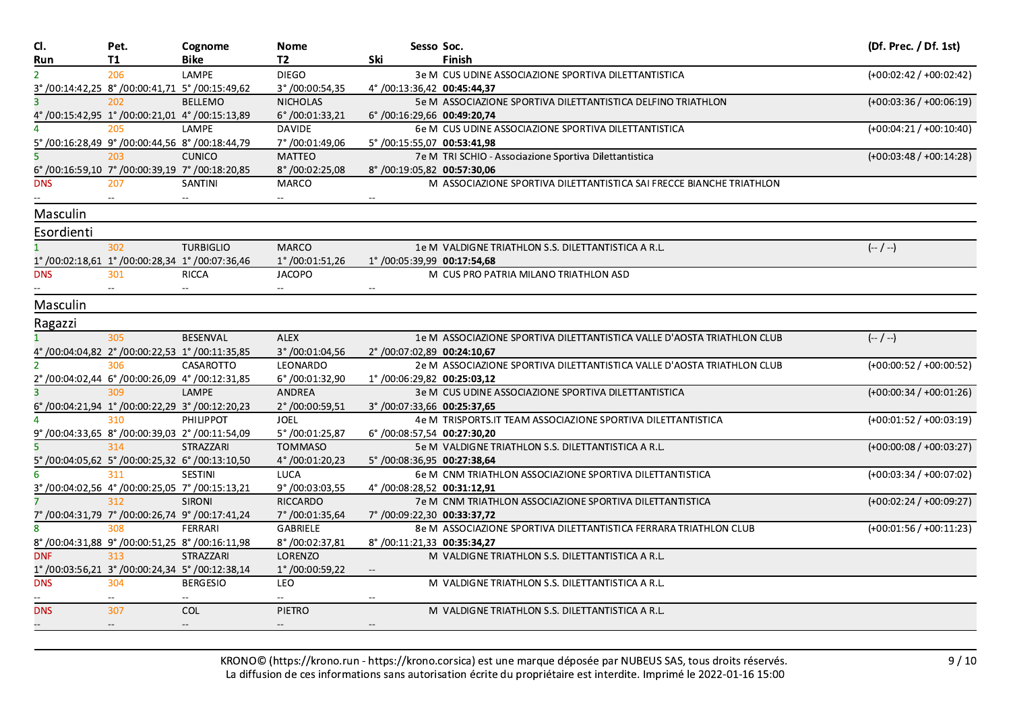| CI.            | Pet.                                         | Cognome                                         | <b>Nome</b>              |                          | Sesso Soc. |                                                                         | (Df. Prec. / Df. 1st)     |
|----------------|----------------------------------------------|-------------------------------------------------|--------------------------|--------------------------|------------|-------------------------------------------------------------------------|---------------------------|
| Run            | <b>T1</b>                                    | <b>Bike</b>                                     | T <sub>2</sub>           | Ski                      |            | <b>Finish</b>                                                           |                           |
| 2 <sup>1</sup> | 206                                          | LAMPE                                           | <b>DIEGO</b>             |                          |            | 3e M CUS UDINE ASSOCIAZIONE SPORTIVA DILETTANTISTICA                    | $(+00:02:42 / +00:02:42)$ |
|                |                                              | 3°/00:14:42,25 8°/00:00:41,71 5°/00:15:49,62    | 3°/00:00:54,35           |                          |            | $4^{\circ}/00:13:36,42$ 00:45:44,37                                     |                           |
|                | 202                                          | <b>BELLEMO</b>                                  | <b>NICHOLAS</b>          |                          |            | 5e M ASSOCIAZIONE SPORTIVA DILETTANTISTICA DELFINO TRIATHLON            | $(+00:03:36/+00:06:19)$   |
|                | 4°/00:15:42,95 1°/00:00:21,01 4°/00:15:13,89 |                                                 | 6°/00:01:33,21           |                          |            | $6^{\circ}$ /00:16:29,66 00:49:20,74                                    |                           |
|                | 205                                          | LAMPE                                           | <b>DAVIDE</b>            |                          |            | 6e M CUS UDINE ASSOCIAZIONE SPORTIVA DILETTANTISTICA                    | $(+00:04:21/+00:10:40)$   |
|                |                                              | 5°/00:16:28,49 9°/00:00:44,56 8°/00:18:44,79    | 7° /00:01:49,06          |                          |            | $5^{\circ}$ /00:15:55,07 00:53:41,98                                    |                           |
|                | 203                                          | <b>CUNICO</b>                                   | <b>MATTEO</b>            |                          |            | 7e M TRI SCHIO - Associazione Sportiva Dilettantistica                  | $(+00:03:48 / +00:14:28)$ |
|                |                                              | 6° /00:16:59,10 7° /00:00:39,19 7° /00:18:20,85 | 8°/00:02:25,08           |                          |            | 8°/00:19:05,82 00:57:30,06                                              |                           |
| <b>DNS</b>     | 207                                          | SANTINI                                         | MARCO                    |                          |            | M ASSOCIAZIONE SPORTIVA DILETTANTISTICA SAI FRECCE BIANCHE TRIATHLON    |                           |
|                |                                              | $\overline{\phantom{a}}$                        |                          |                          |            |                                                                         |                           |
| Masculin       |                                              |                                                 |                          |                          |            |                                                                         |                           |
| Esordienti     |                                              |                                                 |                          |                          |            |                                                                         |                           |
| $\mathbf{1}$   | 302                                          | <b>TURBIGLIO</b>                                | <b>MARCO</b>             |                          |            | 1e M VALDIGNE TRIATHLON S.S. DILETTANTISTICA A R.L.                     | $(-/ -)$                  |
|                |                                              | 1°/00:02:18,61  1°/00:00:28,34  1°/00:07:36,46  | $1^{\circ}$ /00:01:51,26 |                          |            | 1°/00:05:39,99 00:17:54,68                                              |                           |
| <b>DNS</b>     | 301                                          | <b>RICCA</b>                                    | <b>JACOPO</b>            |                          |            | M CUS PRO PATRIA MILANO TRIATHLON ASD                                   |                           |
|                |                                              | $ -$                                            | н.                       |                          |            |                                                                         |                           |
| Masculin       |                                              |                                                 |                          |                          |            |                                                                         |                           |
| Ragazzi        |                                              |                                                 |                          |                          |            |                                                                         |                           |
|                | 305                                          | BESENVAL                                        | <b>ALEX</b>              |                          |            | 1e M ASSOCIAZIONE SPORTIVA DILETTANTISTICA VALLE D'AOSTA TRIATHLON CLUB | $(-/ -)$                  |
|                | 4°/00:04:04,82 2°/00:00:22,53 1°/00:11:35,85 |                                                 | 3°/00:01:04,56           |                          |            | 2°/00:07:02,89 00:24:10,67                                              |                           |
|                | 306                                          | CASAROTTO                                       | LEONARDO                 |                          |            | 2e M ASSOCIAZIONE SPORTIVA DILETTANTISTICA VALLE D'AOSTA TRIATHLON CLUB | $(+00:00:52 / +00:00:52)$ |
|                | 2°/00:04:02,44 6°/00:00:26,09 4°/00:12:31,85 |                                                 | 6°/00:01:32,90           |                          |            | 1°/00:06:29,82 00:25:03,12                                              |                           |
|                | 309                                          | LAMPE                                           | <b>ANDREA</b>            |                          |            | 3e M CUS UDINE ASSOCIAZIONE SPORTIVA DILETTANTISTICA                    | $(+00:00:34 / +00:01:26)$ |
|                | 6°/00:04:21,94 1°/00:00:22,29 3°/00:12:20,23 |                                                 | 2°/00:00:59,51           |                          |            | $3^{\circ}/00:07:33,66$ 00:25:37,65                                     |                           |
|                | 310                                          | PHILIPPOT                                       | <b>JOEL</b>              |                          |            | 4e M TRISPORTS.IT TEAM ASSOCIAZIONE SPORTIVA DILETTANTISTICA            | $(+00:01:52 / +00:03:19)$ |
|                |                                              | 9°/00:04:33,65 8°/00:00:39,03 2°/00:11:54,09    | 5°/00:01:25,87           |                          |            | $6^{\circ}$ /00:08:57,54 00:27:30,20                                    |                           |
|                | 314                                          | <b>STRAZZARI</b>                                | <b>TOMMASO</b>           |                          |            | 5e M VALDIGNE TRIATHLON S.S. DILETTANTISTICA A R.L.                     | $(+00:00:08 / +00:03:27)$ |
|                |                                              | 5° /00:04:05,62 5° /00:00:25,32 6° /00:13:10,50 | 4°/00:01:20,23           |                          |            | 5°/00:08:36,95 00:27:38,64                                              |                           |
|                | 311                                          | <b>SESTINI</b>                                  | <b>LUCA</b>              |                          |            | 6e M CNM TRIATHLON ASSOCIAZIONE SPORTIVA DILETTANTISTICA                | $(+00:03:34 / +00:07:02)$ |
|                |                                              | 3°/00:04:02,56 4°/00:00:25,05 7°/00:15:13,21    | 9°/00:03:03,55           |                          |            | 4°/00:08:28,52 00:31:12,91                                              |                           |
|                | 312                                          | <b>SIRONI</b>                                   | <b>RICCARDO</b>          |                          |            | 7e M CNM TRIATHLON ASSOCIAZIONE SPORTIVA DILETTANTISTICA                | $(+00:02:24 / +00:09:27)$ |
|                |                                              | 7°/00:04:31,79 7°/00:00:26,74 9°/00:17:41,24    | 7° /00:01:35,64          |                          |            | 7°/00:09:22,30 00:33:37,72                                              |                           |
|                | 308                                          | <b>FERRARI</b>                                  | GABRIELE                 |                          |            | 8e M ASSOCIAZIONE SPORTIVA DILETTANTISTICA FERRARA TRIATHLON CLUB       | $(+00:01:56 / +00:11:23)$ |
|                |                                              | 8°/00:04:31,88 9°/00:00:51,25 8°/00:16:11,98    | 8°/00:02:37,81           |                          |            | 8°/00:11:21,33 00:35:34,27                                              |                           |
| <b>DNF</b>     | 313                                          | <b>STRAZZARI</b>                                | LORENZO                  |                          |            | M VALDIGNE TRIATHLON S.S. DILETTANTISTICA A R.L.                        |                           |
|                |                                              | 1°/00:03:56,21 3°/00:00:24,34 5°/00:12:38,14    | 1°/00:00:59,22           | $\overline{\phantom{a}}$ |            |                                                                         |                           |
| <b>DNS</b>     | 304                                          | <b>BERGESIO</b>                                 | <b>LEO</b>               |                          |            | M VALDIGNE TRIATHLON S.S. DILETTANTISTICA A R.L.                        |                           |
|                |                                              | $\sim$                                          | $\sim$                   |                          |            |                                                                         |                           |
| <b>DNS</b>     | 307                                          | COL                                             | PIETRO                   |                          |            | M VALDIGNE TRIATHLON S.S. DILETTANTISTICA A R.L.                        |                           |
|                | $- -$                                        | $- -$                                           | $\qquad \qquad -$        |                          |            |                                                                         |                           |
|                |                                              |                                                 |                          |                          |            |                                                                         |                           |